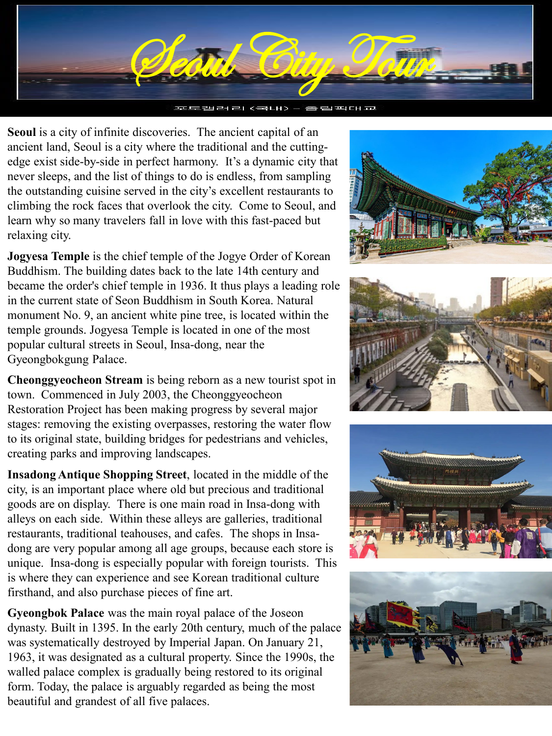

**Seoul** is a city of infinite discoveries. The ancient capital of an ancient land, Seoul is a city where the traditional and the cuttingedge exist side-by-side in perfect harmony. It's a dynamic city that never sleeps, and the list of things to do is endless, from sampling the outstanding cuisine served in the city's excellent restaurants to climbing the rock faces that overlook the city. Come to Seoul, and learn why so many travelers fall in love with this fast-paced but relaxing city.

**Jogyesa Temple** is the chief temple of the Jogye Order of Korean Buddhism. The building dates back to the late 14th century and became the order's chief temple in 1936. It thus plays a leading role in the current state of Seon Buddhism in South Korea. Natural monument No. 9, an ancient white pine tree, is located within the temple grounds. Jogyesa Temple is located in one of the most popular cultural streets in Seoul, Insa-dong, near the Gyeongbokgung Palace.

**Cheonggyeocheon Stream** is being reborn as a new tourist spot in town. Commenced in July 2003, the Cheonggyeocheon Restoration Project has been making progress by several major stages: removing the existing overpasses, restoring the water flow to its original state, building bridges for pedestrians and vehicles, creating parks and improving landscapes.

**Insadong Antique Shopping Street**, located in the middle of the city, is an important place where old but precious and traditional goods are on display. There is one main road in Insa-dong with alleys on each side. Within these alleys are galleries, traditional restaurants, traditional teahouses, and cafes. The shops in Insadong are very popular among all age groups, because each store is unique. Insa-dong is especially popular with foreign tourists. This is where they can experience and see Korean traditional culture firsthand, and also purchase pieces of fine art.

**Gyeongbok Palace** was the main royal palace of the Joseon dynasty. Built in 1395. In the early 20th century, much of the palace was systematically destroyed by Imperial Japan. On January 21, 1963, it was designated as a cultural property. Since the 1990s, the walled palace complex is gradually being restored to its original form. Today, the palace is arguably regarded as being the most beautiful and grandest of all five palaces.